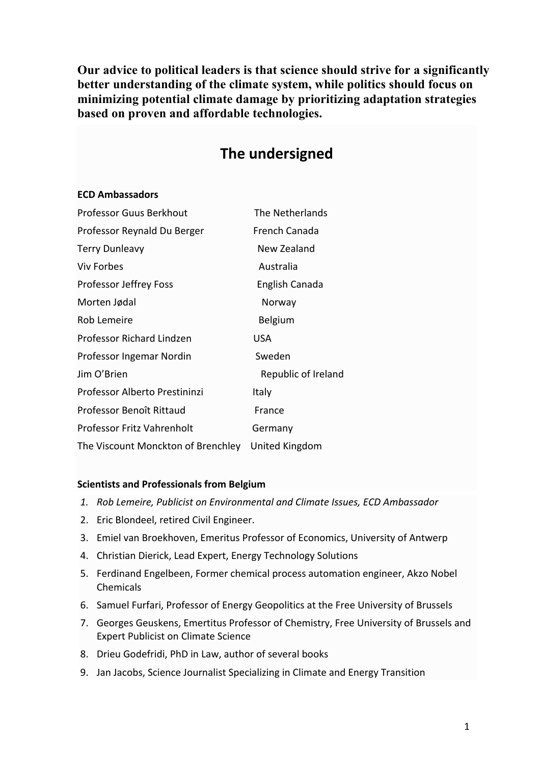**Our advice to political leaders is that science should strive for a significantly better understanding of the climate system, while politics should focus on minimizing potential climate damage by prioritizing adaptation strategies based on proven and affordable technologies.**

|  | The undersigned |
|--|-----------------|
|  |                 |

## **ECD Ambassadors**

| Professor Guus Berkhout            | The Netherlands     |  |
|------------------------------------|---------------------|--|
| Professor Reynald Du Berger        | French Canada       |  |
| <b>Terry Dunleavy</b>              | New Zealand         |  |
| <b>Viv Forbes</b>                  | Australia           |  |
| Professor Jeffrey Foss             | English Canada      |  |
| Morten Jødal                       | Norway              |  |
| Rob Lemeire                        | Belgium             |  |
| Professor Richard Lindzen          | USA                 |  |
| Professor Ingemar Nordin           | Sweden              |  |
| Jim O'Brien                        | Republic of Ireland |  |
| Professor Alberto Prestininzi      | Italy               |  |
| Professor Benoît Rittaud           | France              |  |
| Professor Fritz Vahrenholt         | Germany             |  |
| The Viscount Monckton of Brenchley | United Kingdom      |  |

## **Scientists and Professionals from Belgium**

- *1. Rob Lemeire, Publicist on Environmental and Climate Issues, ECD Ambassador*
- 2. Eric Blondeel, retired Civil Engineer.
- 3. Emiel van Broekhoven, Emeritus Professor of Economics, University of Antwerp
- 4. Christian Dierick, Lead Expert, Energy Technology Solutions
- 5. Ferdinand Engelbeen, Former chemical process automation engineer, Akzo Nobel Chemicals
- 6. Samuel Furfari, Professor of Energy Geopolitics at the Free University of Brussels
- 7. Georges Geuskens, Emertitus Professor of Chemistry, Free University of Brussels and Expert Publicist on Climate Science
- 8. Drieu Godefridi, PhD in Law, author of several books
- 9. Jan Jacobs, Science Journalist Specializing in Climate and Energy Transition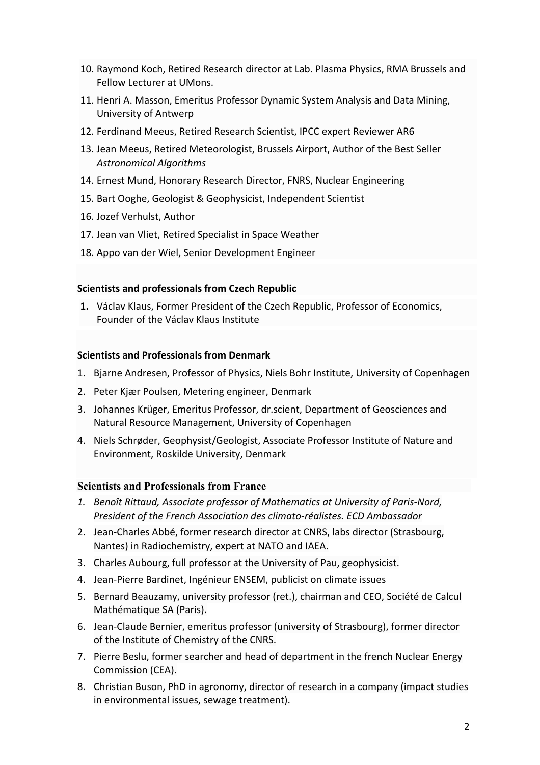- 10. Raymond Koch, Retired Research director at Lab. Plasma Physics, RMA Brussels and Fellow Lecturer at UMons.
- 11. Henri A. Masson, Emeritus Professor Dynamic System Analysis and Data Mining, University of Antwerp
- 12. Ferdinand Meeus, Retired Research Scientist, IPCC expert Reviewer AR6
- 13. Jean Meeus, Retired Meteorologist, Brussels Airport, Author of the Best Seller *Astronomical Algorithms*
- 14. Ernest Mund, Honorary Research Director, FNRS, Nuclear Engineering
- 15. Bart Ooghe, Geologist & Geophysicist, Independent Scientist
- 16. Jozef Verhulst, Author
- 17. Jean van Vliet, Retired Specialist in Space Weather
- 18. Appo van der Wiel, Senior Development Engineer

## **Scientists and professionals from Czech Republic**

**1.** Václav Klaus, Former President of the Czech Republic, Professor of Economics, Founder of the Václav Klaus Institute

## **Scientists and Professionals from Denmark**

- 1. Bjarne Andresen, Professor of Physics, Niels Bohr Institute, University of Copenhagen
- 2. Peter Kjær Poulsen, Metering engineer, Denmark
- 3. Johannes Krüger, Emeritus Professor, dr.scient, Department of Geosciences and Natural Resource Management, University of Copenhagen
- 4. Niels Schrøder, Geophysist/Geologist, Associate Professor Institute of Nature and Environment, Roskilde University, Denmark

# **Scientists and Professionals from France**

- *1. Benoît Rittaud, Associate professor of Mathematics at University of Paris-Nord, President of the French Association des climato-réalistes. ECD Ambassador*
- 2. Jean-Charles Abbé, former research director at CNRS, labs director (Strasbourg, Nantes) in Radiochemistry, expert at NATO and IAEA.
- 3. Charles Aubourg, full professor at the University of Pau, geophysicist.
- 4. Jean-Pierre Bardinet, Ingénieur ENSEM, publicist on climate issues
- 5. Bernard Beauzamy, university professor (ret.), chairman and CEO, Société de Calcul Mathématique SA (Paris).
- 6. Jean-Claude Bernier, emeritus professor (university of Strasbourg), former director of the Institute of Chemistry of the CNRS.
- 7. Pierre Beslu, former searcher and head of department in the french Nuclear Energy Commission (CEA).
- 8. Christian Buson, PhD in agronomy, director of research in a company (impact studies in environmental issues, sewage treatment).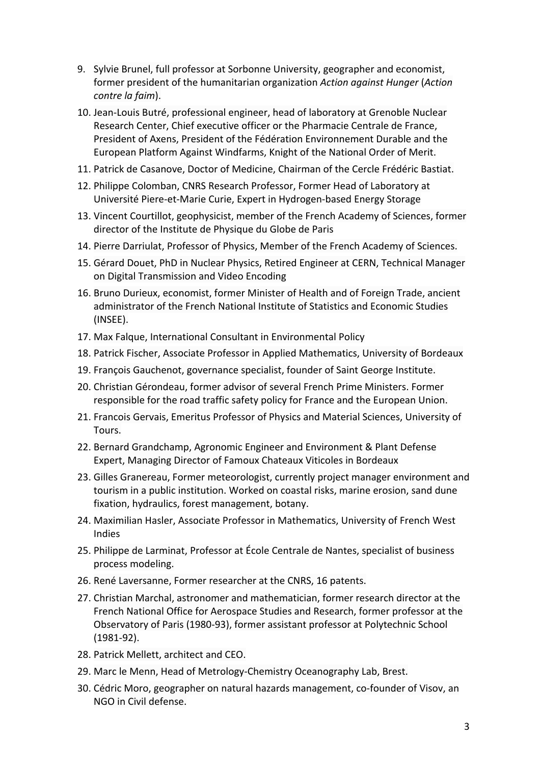- 9. Sylvie Brunel, full professor at Sorbonne University, geographer and economist, former president of the humanitarian organization *Action against Hunger* (*Action contre la faim*).
- 10. Jean-Louis Butré, professional engineer, head of laboratory at Grenoble Nuclear Research Center, Chief executive officer or the Pharmacie Centrale de France, President of Axens, President of the Fédération Environnement Durable and the European Platform Against Windfarms, Knight of the National Order of Merit.
- 11. Patrick de Casanove, Doctor of Medicine, Chairman of the Cercle Frédéric Bastiat.
- 12. Philippe Colomban, CNRS Research Professor, Former Head of Laboratory at Université Piere-et-Marie Curie, Expert in Hydrogen-based Energy Storage
- 13. Vincent Courtillot, geophysicist, member of the French Academy of Sciences, former director of the Institute de Physique du Globe de Paris
- 14. Pierre Darriulat, Professor of Physics, Member of the French Academy of Sciences.
- 15. Gérard Douet, PhD in Nuclear Physics, Retired Engineer at CERN, Technical Manager on Digital Transmission and Video Encoding
- 16. Bruno Durieux, economist, former Minister of Health and of Foreign Trade, ancient administrator of the French National Institute of Statistics and Economic Studies (INSEE).
- 17. Max Falque, International Consultant in Environmental Policy
- 18. Patrick Fischer, Associate Professor in Applied Mathematics, University of Bordeaux
- 19. François Gauchenot, governance specialist, founder of Saint George Institute.
- 20. Christian Gérondeau, former advisor of several French Prime Ministers. Former responsible for the road traffic safety policy for France and the European Union.
- 21. Francois Gervais, Emeritus Professor of Physics and Material Sciences, University of Tours.
- 22. Bernard Grandchamp, Agronomic Engineer and Environment & Plant Defense Expert, Managing Director of Famoux Chateaux Viticoles in Bordeaux
- 23. Gilles Granereau, Former meteorologist, currently project manager environment and tourism in a public institution. Worked on coastal risks, marine erosion, sand dune fixation, hydraulics, forest management, botany.
- 24. Maximilian Hasler, Associate Professor in Mathematics, University of French West Indies
- 25. Philippe de Larminat, Professor at École Centrale de Nantes, specialist of business process modeling.
- 26. René Laversanne, Former researcher at the CNRS, 16 patents.
- 27. Christian Marchal, astronomer and mathematician, former research director at the French National Office for Aerospace Studies and Research, former professor at the Observatory of Paris (1980-93), former assistant professor at Polytechnic School (1981-92).
- 28. Patrick Mellett, architect and CEO.
- 29. Marc le Menn, Head of Metrology-Chemistry Oceanography Lab, Brest.
- 30. Cédric Moro, geographer on natural hazards management, co-founder of Visov, an NGO in Civil defense.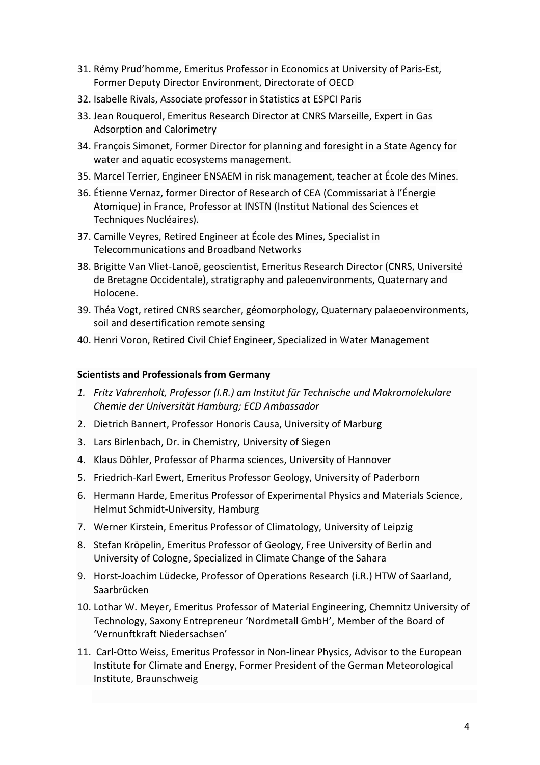- 31. Rémy Prud'homme, Emeritus Professor in Economics at University of Paris-Est, Former Deputy Director Environment, Directorate of OECD
- 32. Isabelle Rivals, Associate professor in Statistics at ESPCI Paris
- 33. Jean Rouquerol, Emeritus Research Director at CNRS Marseille, Expert in Gas Adsorption and Calorimetry
- 34. François Simonet, Former Director for planning and foresight in a State Agency for water and aquatic ecosystems management.
- 35. Marcel Terrier, Engineer ENSAEM in risk management, teacher at École des Mines.
- 36. Étienne Vernaz, former Director of Research of CEA (Commissariat à l'Énergie Atomique) in France, Professor at INSTN (Institut National des Sciences et Techniques Nucléaires).
- 37. Camille Veyres, Retired Engineer at École des Mines, Specialist in Telecommunications and Broadband Networks
- 38. Brigitte Van Vliet-Lanoë, geoscientist, Emeritus Research Director (CNRS, Université de Bretagne Occidentale), stratigraphy and paleoenvironments, Quaternary and Holocene.
- 39. Théa Vogt, retired CNRS searcher, géomorphology, Quaternary palaeoenvironments, soil and desertification remote sensing
- 40. Henri Voron, Retired Civil Chief Engineer, Specialized in Water Management

# **Scientists and Professionals from Germany**

- *1. Fritz Vahrenholt, Professor (I.R.) am Institut für Technische und Makromolekulare Chemie der Universität Hamburg; ECD Ambassador*
- 2. Dietrich Bannert, Professor Honoris Causa, University of Marburg
- 3. Lars Birlenbach, Dr. in Chemistry, University of Siegen
- 4. Klaus Döhler, Professor of Pharma sciences, University of Hannover
- 5. Friedrich-Karl Ewert, Emeritus Professor Geology, University of Paderborn
- 6. Hermann Harde, Emeritus Professor of Experimental Physics and Materials Science, Helmut Schmidt-University, Hamburg
- 7. Werner Kirstein, Emeritus Professor of Climatology, University of Leipzig
- 8. Stefan Kröpelin, Emeritus Professor of Geology, Free University of Berlin and University of Cologne, Specialized in Climate Change of the Sahara
- 9. Horst-Joachim Lüdecke, Professor of Operations Research (i.R.) HTW of Saarland, Saarbrücken
- 10. Lothar W. Meyer, Emeritus Professor of Material Engineering, Chemnitz University of Technology, Saxony Entrepreneur 'Nordmetall GmbH', Member of the Board of 'Vernunftkraft Niedersachsen'
- 11. Carl-Otto Weiss, Emeritus Professor in Non-linear Physics, Advisor to the European Institute for Climate and Energy, Former President of the German Meteorological Institute, Braunschweig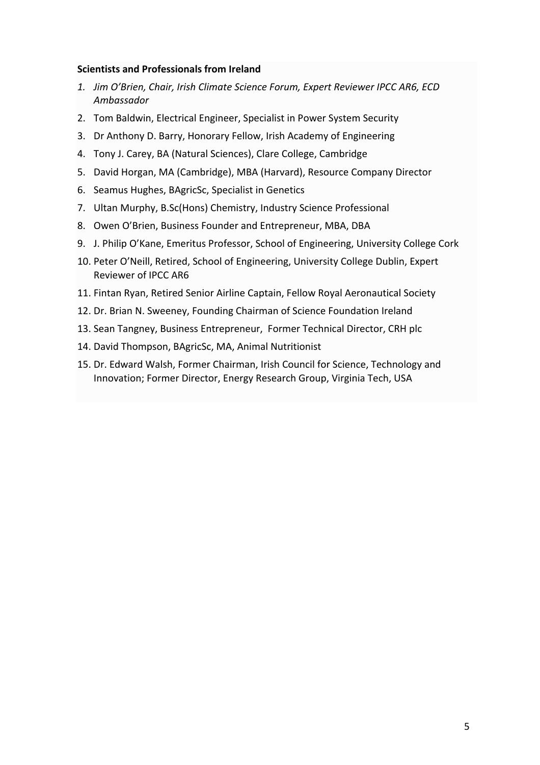#### **Scientists and Professionals from Ireland**

- *1. Jim O'Brien, Chair, Irish Climate Science Forum, Expert Reviewer IPCC AR6, ECD Ambassador*
- 2. Tom Baldwin, Electrical Engineer, Specialist in Power System Security
- 3. Dr Anthony D. Barry, Honorary Fellow, Irish Academy of Engineering
- 4. Tony J. Carey, BA (Natural Sciences), Clare College, Cambridge
- 5. David Horgan, MA (Cambridge), MBA (Harvard), Resource Company Director
- 6. Seamus Hughes, BAgricSc, Specialist in Genetics
- 7. Ultan Murphy, B.Sc(Hons) Chemistry, Industry Science Professional
- 8. Owen O'Brien, Business Founder and Entrepreneur, MBA, DBA
- 9. J. Philip O'Kane, Emeritus Professor, School of Engineering, University College Cork
- 10. Peter O'Neill, Retired, School of Engineering, University College Dublin, Expert Reviewer of IPCC AR6
- 11. Fintan Ryan, Retired Senior Airline Captain, Fellow Royal Aeronautical Society
- 12. Dr. Brian N. Sweeney, Founding Chairman of Science Foundation Ireland
- 13. Sean Tangney, Business Entrepreneur, Former Technical Director, CRH plc
- 14. David Thompson, BAgricSc, MA, Animal Nutritionist
- 15. Dr. Edward Walsh, Former Chairman, Irish Council for Science, Technology and Innovation; Former Director, Energy Research Group, Virginia Tech, USA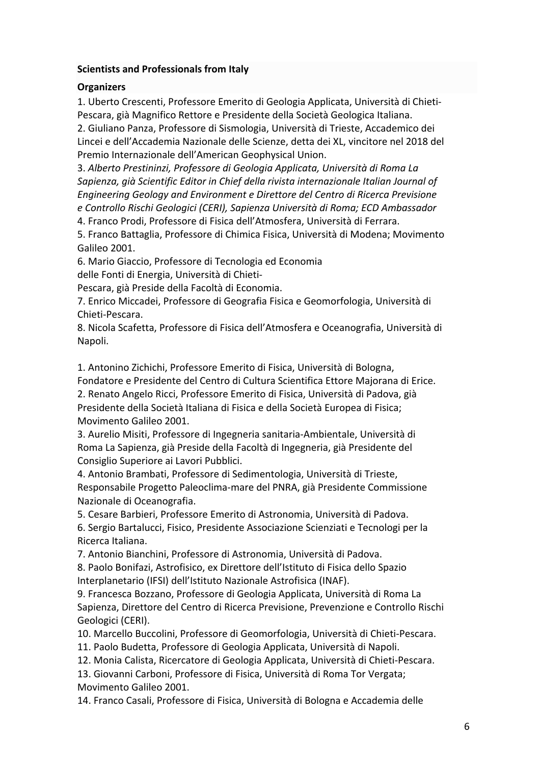# **Scientists and Professionals from Italy**

# **Organizers**

1. Uberto Crescenti, Professore Emerito di Geologia Applicata, Università di Chieti-Pescara, già Magnifico Rettore e Presidente della Società Geologica Italiana.

2. Giuliano Panza, Professore di Sismologia, Università di Trieste, Accademico dei Lincei e dell'Accademia Nazionale delle Scienze, detta dei XL, vincitore nel 2018 del Premio Internazionale dell'American Geophysical Union.

3. *Alberto Prestininzi, Professore di Geologia Applicata, Università di Roma La Sapienza, già Scientific Editor in Chief della rivista internazionale Italian Journal of Engineering Geology and Environment e Direttore del Centro di Ricerca Previsione e Controllo Rischi Geologici (CERI), Sapienza Università di Roma; ECD Ambassador* 4. Franco Prodi, Professore di Fisica dell'Atmosfera, Università di Ferrara.

5. Franco Battaglia, Professore di Chimica Fisica, Università di Modena; Movimento Galileo 2001.

6. Mario Giaccio, Professore di Tecnologia ed Economia

delle Fonti di Energia, Università di Chieti-

Pescara, già Preside della Facoltà di Economia.

7. Enrico Miccadei, Professore di Geografia Fisica e Geomorfologia, Università di Chieti-Pescara.

8. Nicola Scafetta, Professore di Fisica dell'Atmosfera e Oceanografia, Università di Napoli.

1. Antonino Zichichi, Professore Emerito di Fisica, Università di Bologna,

Fondatore e Presidente del Centro di Cultura Scientifica Ettore Majorana di Erice. 2. Renato Angelo Ricci, Professore Emerito di Fisica, Università di Padova, già

Presidente della Società Italiana di Fisica e della Società Europea di Fisica; Movimento Galileo 2001.

3. Aurelio Misiti, Professore di Ingegneria sanitaria-Ambientale, Università di Roma La Sapienza, già Preside della Facoltà di Ingegneria, già Presidente del Consiglio Superiore ai Lavori Pubblici.

4. Antonio Brambati, Professore di Sedimentologia, Università di Trieste, Responsabile Progetto Paleoclima-mare del PNRA, già Presidente Commissione Nazionale di Oceanografia.

5. Cesare Barbieri, Professore Emerito di Astronomia, Università di Padova.

6. Sergio Bartalucci, Fisico, Presidente Associazione Scienziati e Tecnologi per la Ricerca Italiana.

7. Antonio Bianchini, Professore di Astronomia, Università di Padova.

8. Paolo Bonifazi, Astrofisico, ex Direttore dell'Istituto di Fisica dello Spazio Interplanetario (IFSI) dell'Istituto Nazionale Astrofisica (INAF).

9. Francesca Bozzano, Professore di Geologia Applicata, Università di Roma La Sapienza, Direttore del Centro di Ricerca Previsione, Prevenzione e Controllo Rischi Geologici (CERI).

10. Marcello Buccolini, Professore di Geomorfologia, Università di Chieti-Pescara.

11. Paolo Budetta, Professore di Geologia Applicata, Università di Napoli.

12. Monia Calista, Ricercatore di Geologia Applicata, Università di Chieti-Pescara.

13. Giovanni Carboni, Professore di Fisica, Università di Roma Tor Vergata; Movimento Galileo 2001.

14. Franco Casali, Professore di Fisica, Università di Bologna e Accademia delle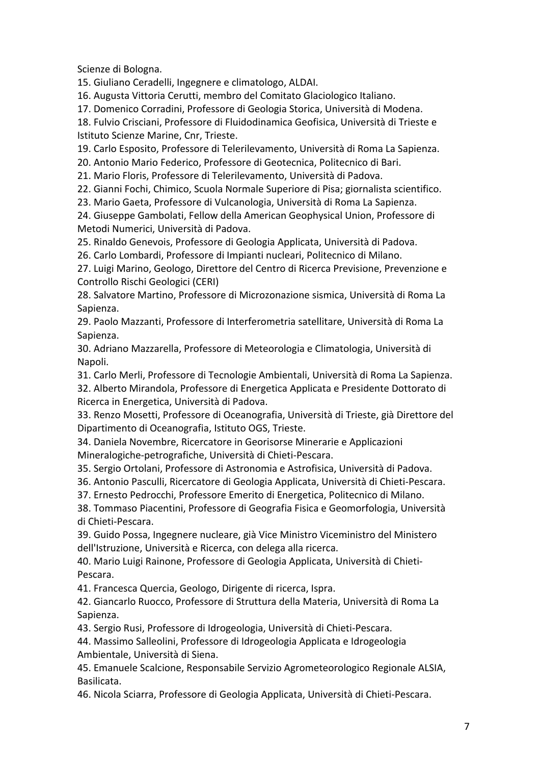Scienze di Bologna.

15. Giuliano Ceradelli, Ingegnere e climatologo, ALDAI.

16. Augusta Vittoria Cerutti, membro del Comitato Glaciologico Italiano.

17. Domenico Corradini, Professore di Geologia Storica, Università di Modena.

18. Fulvio Crisciani, Professore di Fluidodinamica Geofisica, Università di Trieste e Istituto Scienze Marine, Cnr, Trieste.

19. Carlo Esposito, Professore di Telerilevamento, Università di Roma La Sapienza.

20. Antonio Mario Federico, Professore di Geotecnica, Politecnico di Bari.

21. Mario Floris, Professore di Telerilevamento, Università di Padova.

22. Gianni Fochi, Chimico, Scuola Normale Superiore di Pisa; giornalista scientifico.

23. Mario Gaeta, Professore di Vulcanologia, Università di Roma La Sapienza.

24. Giuseppe Gambolati, Fellow della American Geophysical Union, Professore di Metodi Numerici, Università di Padova.

25. Rinaldo Genevois, Professore di Geologia Applicata, Università di Padova.

26. Carlo Lombardi, Professore di Impianti nucleari, Politecnico di Milano.

27. Luigi Marino, Geologo, Direttore del Centro di Ricerca Previsione, Prevenzione e Controllo Rischi Geologici (CERI)

28. Salvatore Martino, Professore di Microzonazione sismica, Università di Roma La Sapienza.

29. Paolo Mazzanti, Professore di Interferometria satellitare, Università di Roma La Sapienza.

30. Adriano Mazzarella, Professore di Meteorologia e Climatologia, Università di Napoli.

31. Carlo Merli, Professore di Tecnologie Ambientali, Università di Roma La Sapienza.

32. Alberto Mirandola, Professore di Energetica Applicata e Presidente Dottorato di Ricerca in Energetica, Università di Padova.

33. Renzo Mosetti, Professore di Oceanografia, Università di Trieste, già Direttore del Dipartimento di Oceanografia, Istituto OGS, Trieste.

34. Daniela Novembre, Ricercatore in Georisorse Minerarie e Applicazioni Mineralogiche-petrografiche, Università di Chieti-Pescara.

35. Sergio Ortolani, Professore di Astronomia e Astrofisica, Università di Padova.

36. Antonio Pasculli, Ricercatore di Geologia Applicata, Università di Chieti-Pescara.

37. Ernesto Pedrocchi, Professore Emerito di Energetica, Politecnico di Milano.

38. Tommaso Piacentini, Professore di Geografia Fisica e Geomorfologia, Università di Chieti-Pescara.

39. Guido Possa, Ingegnere nucleare, già Vice Ministro Viceministro del Ministero dell'Istruzione, Università e Ricerca, con delega alla ricerca.

40. Mario Luigi Rainone, Professore di Geologia Applicata, Università di Chieti-Pescara.

41. Francesca Quercia, Geologo, Dirigente di ricerca, Ispra.

42. Giancarlo Ruocco, Professore di Struttura della Materia, Università di Roma La Sapienza.

43. Sergio Rusi, Professore di Idrogeologia, Università di Chieti-Pescara.

44. Massimo Salleolini, Professore di Idrogeologia Applicata e Idrogeologia Ambientale, Università di Siena.

45. Emanuele Scalcione, Responsabile Servizio Agrometeorologico Regionale ALSIA, Basilicata.

46. Nicola Sciarra, Professore di Geologia Applicata, Università di Chieti-Pescara.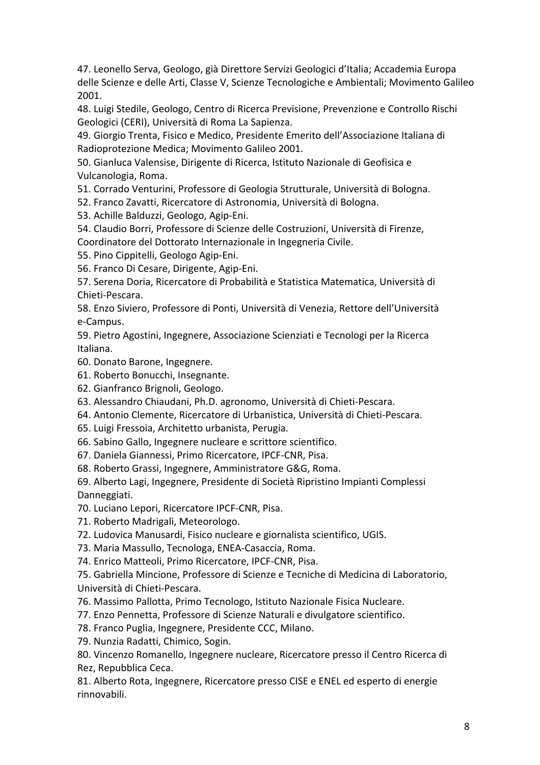47. Leonello Serva, Geologo, già Direttore Servizi Geologici d'Italia; Accademia Europa delle Scienze e delle Arti, Classe V, Scienze Tecnologiche e Ambientali; Movimento Galileo 2001.

48. Luigi Stedile, Geologo, Centro di Ricerca Previsione, Prevenzione e Controllo Rischi Geologici (CERI), Università di Roma La Sapienza.

49. Giorgio Trenta, Fisico e Medico, Presidente Emerito dell'Associazione Italiana di Radioprotezione Medica; Movimento Galileo 2001.

50. Gianluca Valensise, Dirigente di Ricerca, Istituto Nazionale di Geofisica e Vulcanologia, Roma.

51. Corrado Venturini, Professore di Geologia Strutturale, Università di Bologna.

52. Franco Zavatti, Ricercatore di Astronomia, Università di Bologna.

53. Achille Balduzzi, Geologo, Agip-Eni.

54. Claudio Borri, Professore di Scienze delle Costruzioni, Università di Firenze, Coordinatore del Dottorato Internazionale in Ingegneria Civile.

55. Pino Cippitelli, Geologo Agip-Eni.

56. Franco Di Cesare, Dirigente, Agip-Eni.

57. Serena Doria, Ricercatore di Probabilità e Statistica Matematica, Università di Chieti-Pescara.

58. Enzo Siviero, Professore di Ponti, Università di Venezia, Rettore dell'Università e-Campus.

59. Pietro Agostini, Ingegnere, Associazione Scienziati e Tecnologi per la Ricerca Italiana.

60. Donato Barone, Ingegnere.

61. Roberto Bonucchi, Insegnante.

62. Gianfranco Brignoli, Geologo.

63. Alessandro Chiaudani, Ph.D. agronomo, Università di Chieti-Pescara.

64. Antonio Clemente, Ricercatore di Urbanistica, Università di Chieti-Pescara.

65. Luigi Fressoia, Architetto urbanista, Perugia.

66. Sabino Gallo, Ingegnere nucleare e scrittore scientifico.

67. Daniela Giannessi, Primo Ricercatore, IPCF-CNR, Pisa.

68. Roberto Grassi, Ingegnere, Amministratore G&G, Roma.

69. Alberto Lagi, Ingegnere, Presidente di Società Ripristino Impianti Complessi Danneggiati.

70. Luciano Lepori, Ricercatore IPCF-CNR, Pisa.

71. Roberto Madrigali, Meteorologo.

72. Ludovica Manusardi, Fisico nucleare e giornalista scientifico, UGIS.

73. Maria Massullo, Tecnologa, ENEA-Casaccia, Roma.

74. Enrico Matteoli, Primo Ricercatore, IPCF-CNR, Pisa.

75. Gabriella Mincione, Professore di Scienze e Tecniche di Medicina di Laboratorio, Università di Chieti-Pescara.

76. Massimo Pallotta, Primo Tecnologo, Istituto Nazionale Fisica Nucleare.

77. Enzo Pennetta, Professore di Scienze Naturali e divulgatore scientifico.

78. Franco Puglia, Ingegnere, Presidente CCC, Milano.

79. Nunzia Radatti, Chimico, Sogin.

80. Vincenzo Romanello, Ingegnere nucleare, Ricercatore presso il Centro Ricerca di Rez, Repubblica Ceca.

81. Alberto Rota, Ingegnere, Ricercatore presso CISE e ENEL ed esperto di energie rinnovabili.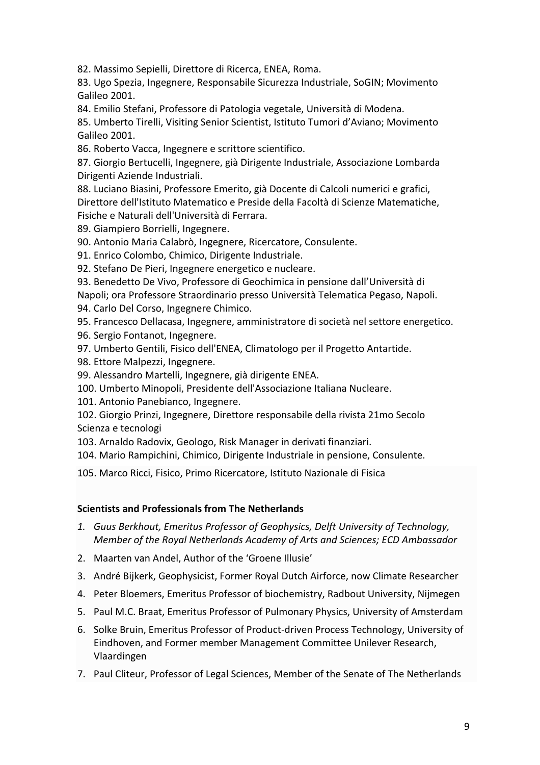82. Massimo Sepielli, Direttore di Ricerca, ENEA, Roma.

83. Ugo Spezia, Ingegnere, Responsabile Sicurezza Industriale, SoGIN; Movimento Galileo 2001.

84. Emilio Stefani, Professore di Patologia vegetale, Università di Modena.

85. Umberto Tirelli, Visiting Senior Scientist, Istituto Tumori d'Aviano; Movimento Galileo 2001.

86. Roberto Vacca, Ingegnere e scrittore scientifico.

87. Giorgio Bertucelli, Ingegnere, già Dirigente Industriale, Associazione Lombarda Dirigenti Aziende Industriali.

88. Luciano Biasini, Professore Emerito, già Docente di Calcoli numerici e grafici, Direttore dell'Istituto Matematico e Preside della Facoltà di Scienze Matematiche, Fisiche e Naturali dell'Università di Ferrara.

89. Giampiero Borrielli, Ingegnere.

90. Antonio Maria Calabrò, Ingegnere, Ricercatore, Consulente.

91. Enrico Colombo, Chimico, Dirigente Industriale.

92. Stefano De Pieri, Ingegnere energetico e nucleare.

93. Benedetto De Vivo, Professore di Geochimica in pensione dall'Università di

Napoli; ora Professore Straordinario presso Università Telematica Pegaso, Napoli.

94. Carlo Del Corso, Ingegnere Chimico.

95. Francesco Dellacasa, Ingegnere, amministratore di società nel settore energetico.

- 96. Sergio Fontanot, Ingegnere.
- 97. Umberto Gentili, Fisico dell'ENEA, Climatologo per il Progetto Antartide.
- 98. Ettore Malpezzi, Ingegnere.
- 99. Alessandro Martelli, Ingegnere, già dirigente ENEA.
- 100. Umberto Minopoli, Presidente dell'Associazione Italiana Nucleare.

101. Antonio Panebianco, Ingegnere.

102. Giorgio Prinzi, Ingegnere, Direttore responsabile della rivista 21mo Secolo Scienza e tecnologi

103. Arnaldo Radovix, Geologo, Risk Manager in derivati finanziari.

104. Mario Rampichini, Chimico, Dirigente Industriale in pensione, Consulente.

105. Marco Ricci, Fisico, Primo Ricercatore, Istituto Nazionale di Fisica

## **Scientists and Professionals from The Netherlands**

- *1. Guus Berkhout, Emeritus Professor of Geophysics, Delft University of Technology, Member of the Royal Netherlands Academy of Arts and Sciences; ECD Ambassador*
- 2. Maarten van Andel, Author of the 'Groene Illusie'
- 3. André Bijkerk, Geophysicist, Former Royal Dutch Airforce, now Climate Researcher
- 4. Peter Bloemers, Emeritus Professor of biochemistry, Radbout University, Nijmegen
- 5. Paul M.C. Braat, Emeritus Professor of Pulmonary Physics, University of Amsterdam
- 6. Solke Bruin, Emeritus Professor of Product-driven Process Technology, University of Eindhoven, and Former member Management Committee Unilever Research, Vlaardingen
- 7. Paul Cliteur, Professor of Legal Sciences, Member of the Senate of The Netherlands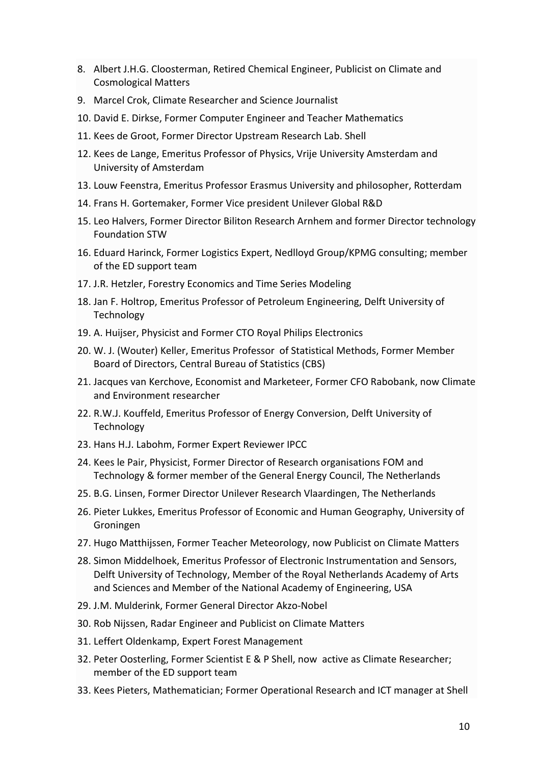- 8. Albert J.H.G. Cloosterman, Retired Chemical Engineer, Publicist on Climate and Cosmological Matters
- 9. Marcel Crok, Climate Researcher and Science Journalist
- 10. David E. Dirkse, Former Computer Engineer and Teacher Mathematics
- 11. Kees de Groot, Former Director Upstream Research Lab. Shell
- 12. Kees de Lange, Emeritus Professor of Physics, Vrije University Amsterdam and University of Amsterdam
- 13. Louw Feenstra, Emeritus Professor Erasmus University and philosopher, Rotterdam
- 14. Frans H. Gortemaker, Former Vice president Unilever Global R&D
- 15. Leo Halvers, Former Director Biliton Research Arnhem and former Director technology Foundation STW
- 16. Eduard Harinck, Former Logistics Expert, Nedlloyd Group/KPMG consulting; member of the ED support team
- 17. J.R. Hetzler, Forestry Economics and Time Series Modeling
- 18. Jan F. Holtrop, Emeritus Professor of Petroleum Engineering, Delft University of Technology
- 19. A. Huijser, Physicist and Former CTO Royal Philips Electronics
- 20. W. J. (Wouter) Keller, Emeritus Professor of Statistical Methods, Former Member Board of Directors, Central Bureau of Statistics (CBS)
- 21. Jacques van Kerchove, Economist and Marketeer, Former CFO Rabobank, now Climate and Environment researcher
- 22. R.W.J. Kouffeld, Emeritus Professor of Energy Conversion, Delft University of Technology
- 23. Hans H.J. Labohm, Former Expert Reviewer IPCC
- 24. Kees le Pair, Physicist, Former Director of Research organisations FOM and Technology & former member of the General Energy Council, The Netherlands
- 25. B.G. Linsen, Former Director Unilever Research Vlaardingen, The Netherlands
- 26. Pieter Lukkes, Emeritus Professor of Economic and Human Geography, University of Groningen
- 27. Hugo Matthijssen, Former Teacher Meteorology, now Publicist on Climate Matters
- 28. Simon Middelhoek, Emeritus Professor of Electronic Instrumentation and Sensors, Delft University of Technology, Member of the Royal Netherlands Academy of Arts and Sciences and Member of the National Academy of Engineering, USA
- 29. J.M. Mulderink, Former General Director Akzo-Nobel
- 30. Rob Nijssen, Radar Engineer and Publicist on Climate Matters
- 31. Leffert Oldenkamp, Expert Forest Management
- 32. Peter Oosterling, Former Scientist E & P Shell, now active as Climate Researcher; member of the ED support team
- 33. Kees Pieters, Mathematician; Former Operational Research and ICT manager at Shell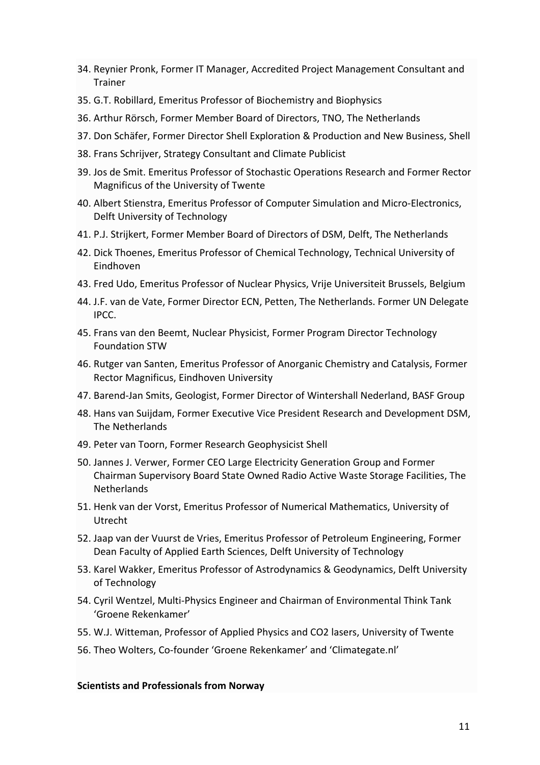- 34. Reynier Pronk, Former IT Manager, Accredited Project Management Consultant and Trainer
- 35. G.T. Robillard, Emeritus Professor of Biochemistry and Biophysics
- 36. Arthur Rörsch, Former Member Board of Directors, TNO, The Netherlands
- 37. Don Schäfer, Former Director Shell Exploration & Production and New Business, Shell
- 38. Frans Schrijver, Strategy Consultant and Climate Publicist
- 39. Jos de Smit. Emeritus Professor of Stochastic Operations Research and Former Rector Magnificus of the University of Twente
- 40. Albert Stienstra, Emeritus Professor of Computer Simulation and Micro-Electronics, Delft University of Technology
- 41. P.J. Strijkert, Former Member Board of Directors of DSM, Delft, The Netherlands
- 42. Dick Thoenes, Emeritus Professor of Chemical Technology, Technical University of Eindhoven
- 43. Fred Udo, Emeritus Professor of Nuclear Physics, Vrije Universiteit Brussels, Belgium
- 44. J.F. van de Vate, Former Director ECN, Petten, The Netherlands. Former UN Delegate IPCC.
- 45. Frans van den Beemt, Nuclear Physicist, Former Program Director Technology Foundation STW
- 46. Rutger van Santen, Emeritus Professor of Anorganic Chemistry and Catalysis, Former Rector Magnificus, Eindhoven University
- 47. Barend-Jan Smits, Geologist, Former Director of Wintershall Nederland, BASF Group
- 48. Hans van Suijdam, Former Executive Vice President Research and Development DSM, The Netherlands
- 49. Peter van Toorn, Former Research Geophysicist Shell
- 50. Jannes J. Verwer, Former CEO Large Electricity Generation Group and Former Chairman Supervisory Board State Owned Radio Active Waste Storage Facilities, The **Netherlands**
- 51. Henk van der Vorst, Emeritus Professor of Numerical Mathematics, University of Utrecht
- 52. Jaap van der Vuurst de Vries, Emeritus Professor of Petroleum Engineering, Former Dean Faculty of Applied Earth Sciences, Delft University of Technology
- 53. Karel Wakker, Emeritus Professor of Astrodynamics & Geodynamics, Delft University of Technology
- 54. Cyril Wentzel, Multi-Physics Engineer and Chairman of Environmental Think Tank 'Groene Rekenkamer'
- 55. W.J. Witteman, Professor of Applied Physics and CO2 lasers, University of Twente
- 56. Theo Wolters, Co-founder 'Groene Rekenkamer' and 'Climategate.nl'

## **Scientists and Professionals from Norway**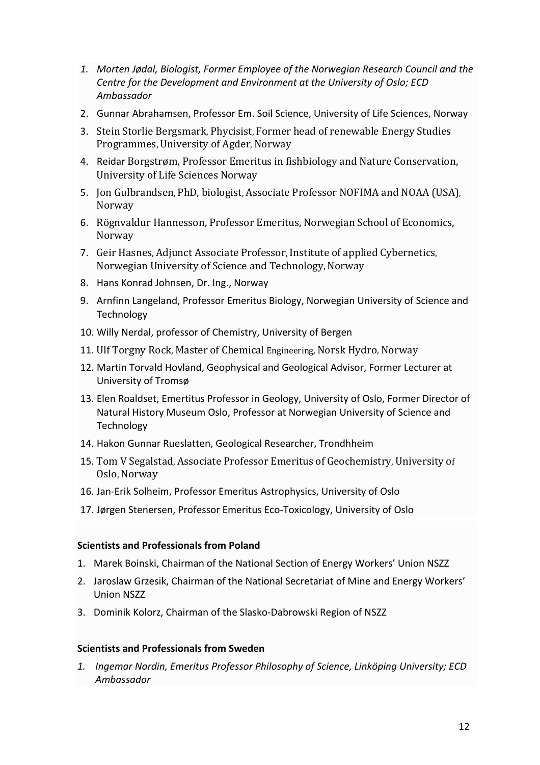- *1. Morten Jødal, Biologist, Former Employee of the Norwegian Research Council and the Centre for the Development and Environment at the University of Oslo; ECD Ambassador*
- 2. Gunnar Abrahamsen, Professor Em. Soil Science, University of Life Sciences, Norway
- 3. Stein Storlie Bergsmark, Phycisist, Former head of renewable Energy Studies Programmes, University of Agder, Norway
- 4. Reidar Borgstrøm, Professor Emeritus in fishbiology and Nature Conservation, University of Life Sciences Norway
- 5. Jon Gulbrandsen, PhD, biologist, Associate Professor NOFIMA and NOAA (USA), Norway
- 6. Rögnvaldur Hannesson, Professor Emeritus, Norwegian School of Economics, Norway
- 7. Geir Hasnes, Adjunct Associate Professor, Institute of applied Cybernetics, Norwegian University of Science and Technology, Norway
- 8. Hans Konrad Johnsen, Dr. Ing., Norway
- 9. Arnfinn Langeland, Professor Emeritus Biology, Norwegian University of Science and Technology
- 10. Willy Nerdal, professor of Chemistry, University of Bergen
- 11. Ulf Torgny Rock, Master of Chemical Engineering, Norsk Hydro, Norway
- 12. Martin Torvald Hovland, Geophysical and Geological Advisor, Former Lecturer at University of Tromsø
- 13. Elen Roaldset, Emertitus Professor in Geology, University of Oslo, Former Director of Natural History Museum Oslo, Professor at Norwegian University of Science and **Technology**
- 14. Hakon Gunnar Rueslatten, Geological Researcher, Trondhheim
- 15. Tom V Segalstad, Associate Professor Emeritus of Geochemistry, University of Oslo, Norway
- 16. Jan-Erik Solheim, Professor Emeritus Astrophysics, University of Oslo
- 17. Jørgen Stenersen, Professor Emeritus Eco-Toxicology, University of Oslo

## **Scientists and Professionals from Poland**

- 1. Marek Boinski, Chairman of the National Section of Energy Workers' Union NSZZ
- 2. Jaroslaw Grzesik, Chairman of the National Secretariat of Mine and Energy Workers' Union NSZZ
- 3. Dominik Kolorz, Chairman of the Slasko-Dabrowski Region of NSZZ

#### **Scientists and Professionals from Sweden**

*1. Ingemar Nordin, Emeritus Professor Philosophy of Science, Linköping University; ECD Ambassador*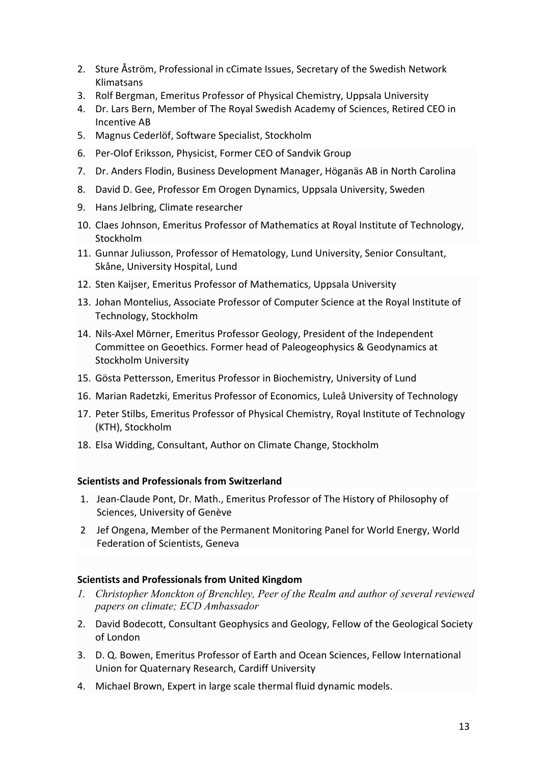- 2. Sture Åström, Professional in cCimate Issues, Secretary of the Swedish Network Klimatsans
- 3. Rolf Bergman, Emeritus Professor of Physical Chemistry, Uppsala University
- 4. Dr. Lars Bern, Member of The Royal Swedish Academy of Sciences, Retired CEO in Incentive AB
- 5. Magnus Cederlöf, Software Specialist, Stockholm
- 6. Per-Olof Eriksson, Physicist, Former CEO of Sandvik Group
- 7. Dr. Anders Flodin, Business Development Manager, Höganäs AB in North Carolina
- 8. David D. Gee, Professor Em Orogen Dynamics, Uppsala University, Sweden
- 9. Hans Jelbring, Climate researcher
- 10. Claes Johnson, Emeritus Professor of Mathematics at Royal Institute of Technology, Stockholm
- 11. Gunnar Juliusson, Professor of Hematology, Lund University, Senior Consultant, Skåne, University Hospital, Lund
- 12. Sten Kaijser, Emeritus Professor of Mathematics, Uppsala University
- 13. Johan Montelius, Associate Professor of Computer Science at the Royal Institute of Technology, Stockholm
- 14. Nils-Axel Mörner, Emeritus Professor Geology, President of the Independent Committee on Geoethics. Former head of Paleogeophysics & Geodynamics at Stockholm University
- 15. Gösta Pettersson, Emeritus Professor in Biochemistry, University of Lund
- 16. Marian Radetzki, Emeritus Professor of Economics, Luleå University of Technology
- 17. Peter Stilbs, Emeritus Professor of Physical Chemistry, Royal Institute of Technology (KTH), Stockholm
- 18. Elsa Widding, Consultant, Author on Climate Change, Stockholm

## **Scientists and Professionals from Switzerland**

- 1. Jean-Claude Pont, Dr. Math., Emeritus Professor of The History of Philosophy of Sciences, University of Genève
- 2 Jef Ongena, Member of the Permanent Monitoring Panel for World Energy, World Federation of Scientists, Geneva

## **Scientists and Professionals from United Kingdom**

- *1. Christopher Monckton of Brenchley, Peer of the Realm and author of several reviewed papers on climate; ECD Ambassador*
- 2. David Bodecott, Consultant Geophysics and Geology, Fellow of the Geological Society of London
- 3. D. Q. Bowen, Emeritus Professor of Earth and Ocean Sciences, Fellow International Union for Quaternary Research, Cardiff University
- 4. Michael Brown, Expert in large scale thermal fluid dynamic models.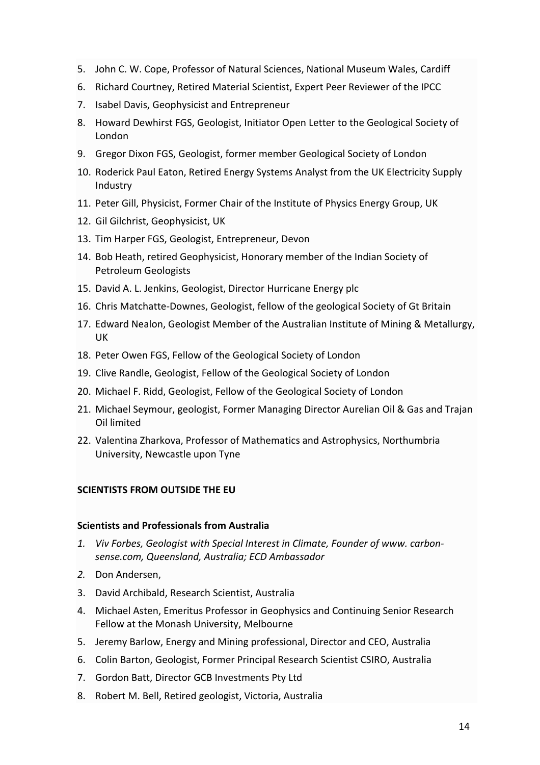- 5. John C. W. Cope, Professor of Natural Sciences, National Museum Wales, Cardiff
- 6. Richard Courtney, Retired Material Scientist, Expert Peer Reviewer of the IPCC
- 7. Isabel Davis, Geophysicist and Entrepreneur
- 8. Howard Dewhirst FGS, Geologist, Initiator Open Letter to the Geological Society of London
- 9. Gregor Dixon FGS, Geologist, former member Geological Society of London
- 10. Roderick Paul Eaton, Retired Energy Systems Analyst from the UK Electricity Supply Industry
- 11. Peter Gill, Physicist, Former Chair of the Institute of Physics Energy Group, UK
- 12. Gil Gilchrist, Geophysicist, UK
- 13. Tim Harper FGS, Geologist, Entrepreneur, Devon
- 14. Bob Heath, retired Geophysicist, Honorary member of the Indian Society of Petroleum Geologists
- 15. David A. L. Jenkins, Geologist, Director Hurricane Energy plc
- 16. Chris Matchatte-Downes, Geologist, fellow of the geological Society of Gt Britain
- 17. Edward Nealon, Geologist Member of the Australian Institute of Mining & Metallurgy, UK
- 18. Peter Owen FGS, Fellow of the Geological Society of London
- 19. Clive Randle, Geologist, Fellow of the Geological Society of London
- 20. Michael F. Ridd, Geologist, Fellow of the Geological Society of London
- 21. Michael Seymour, geologist, Former Managing Director Aurelian Oil & Gas and Trajan Oil limited
- 22. Valentina Zharkova, Professor of Mathematics and Astrophysics, Northumbria University, Newcastle upon Tyne

# **SCIENTISTS FROM OUTSIDE THE EU**

## **Scientists and Professionals from Australia**

- *1. Viv Forbes, Geologist with Special Interest in Climate, Founder of www. carbonsense.com, Queensland, Australia; ECD Ambassador*
- *2.* Don Andersen,
- 3. David Archibald, Research Scientist, Australia
- 4. Michael Asten, Emeritus Professor in Geophysics and Continuing Senior Research Fellow at the Monash University, Melbourne
- 5. Jeremy Barlow, Energy and Mining professional, Director and CEO, Australia
- 6. Colin Barton, Geologist, Former Principal Research Scientist CSIRO, Australia
- 7. Gordon Batt, Director GCB Investments Pty Ltd
- 8. Robert M. Bell, Retired geologist, Victoria, Australia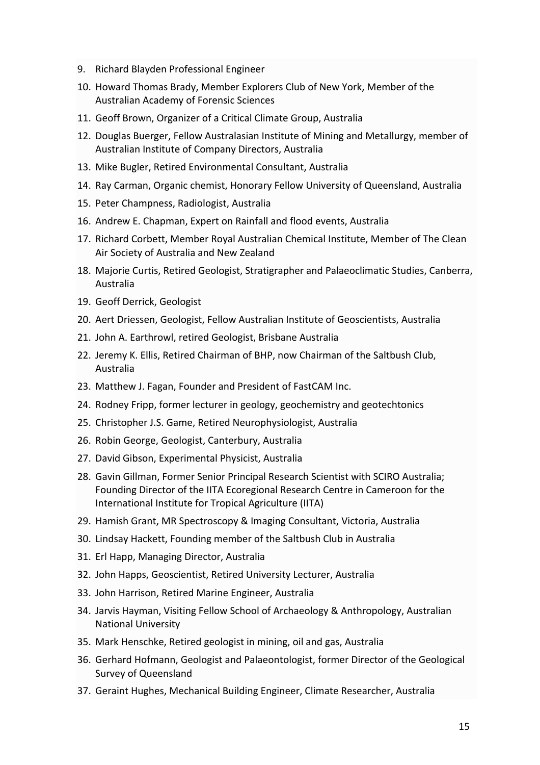- 9. Richard Blayden Professional Engineer
- 10. Howard Thomas Brady, Member Explorers Club of New York, Member of the Australian Academy of Forensic Sciences
- 11. Geoff Brown, Organizer of a Critical Climate Group, Australia
- 12. Douglas Buerger, Fellow Australasian Institute of Mining and Metallurgy, member of Australian Institute of Company Directors, Australia
- 13. Mike Bugler, Retired Environmental Consultant, Australia
- 14. Ray Carman, Organic chemist, Honorary Fellow University of Queensland, Australia
- 15. Peter Champness, Radiologist, Australia
- 16. Andrew E. Chapman, Expert on Rainfall and flood events, Australia
- 17. Richard Corbett, Member Royal Australian Chemical Institute, Member of The Clean Air Society of Australia and New Zealand
- 18. Majorie Curtis, Retired Geologist, Stratigrapher and Palaeoclimatic Studies, Canberra, Australia
- 19. Geoff Derrick, Geologist
- 20. Aert Driessen, Geologist, Fellow Australian Institute of Geoscientists, Australia
- 21. John A. Earthrowl, retired Geologist, Brisbane Australia
- 22. Jeremy K. Ellis, Retired Chairman of BHP, now Chairman of the Saltbush Club, Australia
- 23. Matthew J. Fagan, Founder and President of FastCAM Inc.
- 24. Rodney Fripp, former lecturer in geology, geochemistry and geotechtonics
- 25. Christopher J.S. Game, Retired Neurophysiologist, Australia
- 26. Robin George, Geologist, Canterbury, Australia
- 27. David Gibson, Experimental Physicist, Australia
- 28. Gavin Gillman, Former Senior Principal Research Scientist with SCIRO Australia; Founding Director of the IITA Ecoregional Research Centre in Cameroon for the International Institute for Tropical Agriculture (IITA)
- 29. Hamish Grant, MR Spectroscopy & Imaging Consultant, Victoria, Australia
- 30. Lindsay Hackett, Founding member of the Saltbush Club in Australia
- 31. Erl Happ, Managing Director, Australia
- 32. John Happs, Geoscientist, Retired University Lecturer, Australia
- 33. John Harrison, Retired Marine Engineer, Australia
- 34. Jarvis Hayman, Visiting Fellow School of Archaeology & Anthropology, Australian National University
- 35. Mark Henschke, Retired geologist in mining, oil and gas, Australia
- 36. Gerhard Hofmann, Geologist and Palaeontologist, former Director of the Geological Survey of Queensland
- 37. Geraint Hughes, Mechanical Building Engineer, Climate Researcher, Australia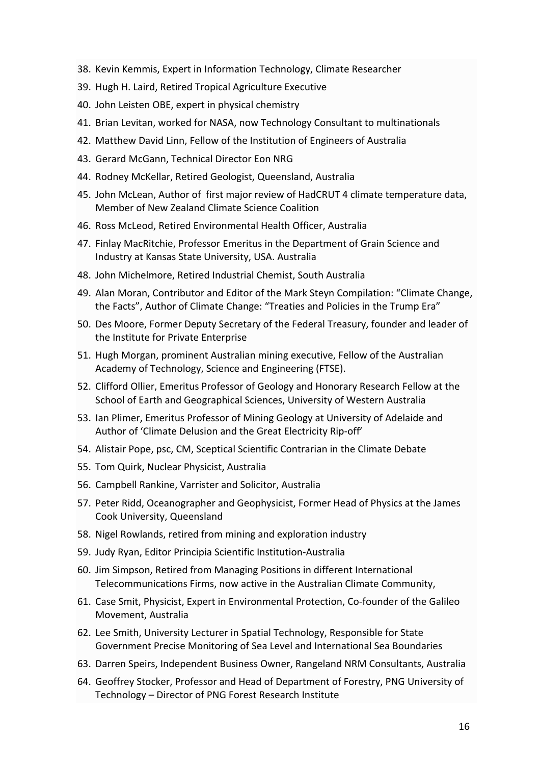- 38. Kevin Kemmis, Expert in Information Technology, Climate Researcher
- 39. Hugh H. Laird, Retired Tropical Agriculture Executive
- 40. John Leisten OBE, expert in physical chemistry
- 41. Brian Levitan, worked for NASA, now Technology Consultant to multinationals
- 42. Matthew David Linn, Fellow of the Institution of Engineers of Australia
- 43. Gerard McGann, Technical Director Eon NRG
- 44. Rodney McKellar, Retired Geologist, Queensland, Australia
- 45. John McLean, Author of first major review of HadCRUT 4 climate temperature data, Member of New Zealand Climate Science Coalition
- 46. Ross McLeod, Retired Environmental Health Officer, Australia
- 47. Finlay MacRitchie, Professor Emeritus in the Department of Grain Science and Industry at Kansas State University, USA. Australia
- 48. John Michelmore, Retired Industrial Chemist, South Australia
- 49. Alan Moran, Contributor and Editor of the Mark Steyn Compilation: "Climate Change, the Facts", Author of Climate Change: "Treaties and Policies in the Trump Era"
- 50. Des Moore, Former Deputy Secretary of the Federal Treasury, founder and leader of the Institute for Private Enterprise
- 51. Hugh Morgan, prominent Australian mining executive, Fellow of the Australian Academy of Technology, Science and Engineering (FTSE).
- 52. Clifford Ollier, Emeritus Professor of Geology and Honorary Research Fellow at the School of Earth and Geographical Sciences, University of Western Australia
- 53. Ian Plimer, Emeritus Professor of Mining Geology at University of Adelaide and Author of 'Climate Delusion and the Great Electricity Rip-off'
- 54. Alistair Pope, psc, CM, Sceptical Scientific Contrarian in the Climate Debate
- 55. Tom Quirk, Nuclear Physicist, Australia
- 56. Campbell Rankine, Varrister and Solicitor, Australia
- 57. Peter Ridd, Oceanographer and Geophysicist, Former Head of Physics at the James Cook University, Queensland
- 58. Nigel Rowlands, retired from mining and exploration industry
- 59. Judy Ryan, Editor Principia Scientific Institution-Australia
- 60. Jim Simpson, Retired from Managing Positions in different International Telecommunications Firms, now active in the Australian Climate Community,
- 61. Case Smit, Physicist, Expert in Environmental Protection, Co-founder of the Galileo Movement, Australia
- 62. Lee Smith, University Lecturer in Spatial Technology, Responsible for State Government Precise Monitoring of Sea Level and International Sea Boundaries
- 63. Darren Speirs, Independent Business Owner, Rangeland NRM Consultants, Australia
- 64. Geoffrey Stocker, Professor and Head of Department of Forestry, PNG University of Technology – Director of PNG Forest Research Institute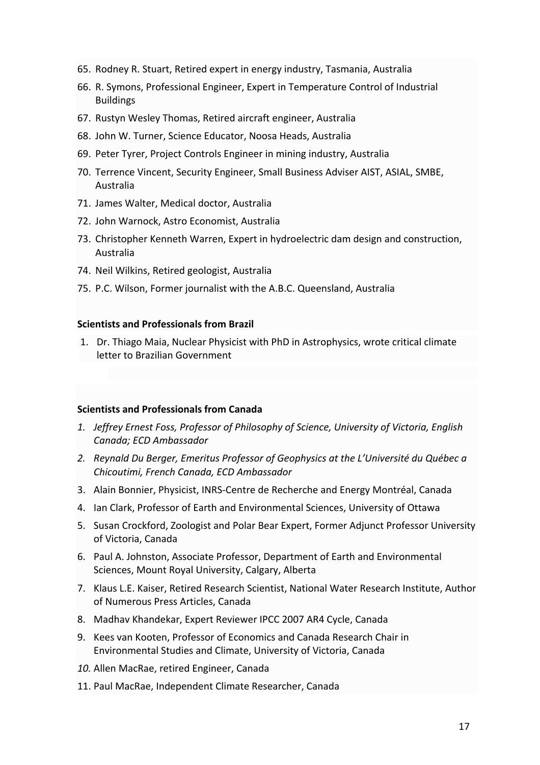- 65. Rodney R. Stuart, Retired expert in energy industry, Tasmania, Australia
- 66. R. Symons, Professional Engineer, Expert in Temperature Control of Industrial Buildings
- 67. Rustyn Wesley Thomas, Retired aircraft engineer, Australia
- 68. John W. Turner, Science Educator, Noosa Heads, Australia
- 69. Peter Tyrer, Project Controls Engineer in mining industry, Australia
- 70. Terrence Vincent, Security Engineer, Small Business Adviser AIST, ASIAL, SMBE, Australia
- 71. James Walter, Medical doctor, Australia
- 72. John Warnock, Astro Economist, Australia
- 73. Christopher Kenneth Warren, Expert in hydroelectric dam design and construction, Australia
- 74. Neil Wilkins, Retired geologist, Australia
- 75. P.C. Wilson, Former journalist with the A.B.C. Queensland, Australia

#### **Scientists and Professionals from Brazil**

1. Dr. Thiago Maia, Nuclear Physicist with PhD in Astrophysics, wrote critical climate letter to Brazilian Government

#### **Scientists and Professionals from Canada**

- *1. Jeffrey Ernest Foss, Professor of Philosophy of Science, University of Victoria, English Canada; ECD Ambassador*
- *2. Reynald Du Berger, Emeritus Professor of Geophysics at the L'Université du Québec a Chicoutimi, French Canada, ECD Ambassador*
- 3. Alain Bonnier, Physicist, INRS-Centre de Recherche and Energy Montréal, Canada
- 4. Ian Clark, Professor of Earth and Environmental Sciences, University of Ottawa
- 5. Susan Crockford, Zoologist and Polar Bear Expert, Former Adjunct Professor University of Victoria, Canada
- 6. Paul A. Johnston, Associate Professor, Department of Earth and Environmental Sciences, Mount Royal University, Calgary, Alberta
- 7. Klaus L.E. Kaiser, Retired Research Scientist, National Water Research Institute, Author of Numerous Press Articles, Canada
- 8. Madhav Khandekar, Expert Reviewer IPCC 2007 AR4 Cycle, Canada
- 9. Kees van Kooten, Professor of Economics and Canada Research Chair in Environmental Studies and Climate, University of Victoria, Canada
- *10.* Allen MacRae, retired Engineer, Canada
- 11. Paul MacRae, Independent Climate Researcher, Canada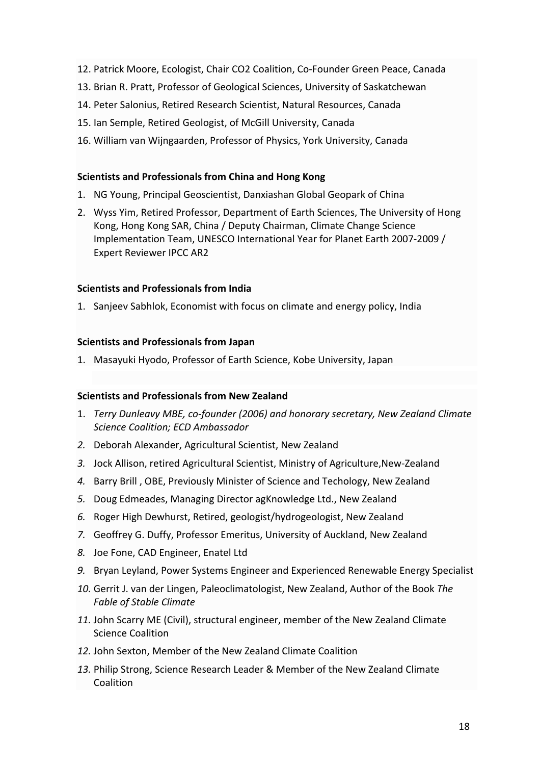- 12. Patrick Moore, Ecologist, Chair CO2 Coalition, Co-Founder Green Peace, Canada
- 13. Brian R. Pratt, Professor of Geological Sciences, University of Saskatchewan
- 14. Peter Salonius, Retired Research Scientist, Natural Resources, Canada
- 15. Ian Semple, Retired Geologist, of McGill University, Canada
- 16. William van Wijngaarden, Professor of Physics, York University, Canada

## **Scientists and Professionals from China and Hong Kong**

- 1. NG Young, Principal Geoscientist, Danxiashan Global Geopark of China
- 2. Wyss Yim, Retired Professor, Department of Earth Sciences, The University of Hong Kong, Hong Kong SAR, China / Deputy Chairman, Climate Change Science Implementation Team, UNESCO International Year for Planet Earth 2007-2009 / Expert Reviewer IPCC AR2

## **Scientists and Professionals from India**

1. Sanjeev Sabhlok, Economist with focus on climate and energy policy, India

#### **Scientists and Professionals from Japan**

1. Masayuki Hyodo, Professor of Earth Science, Kobe University, Japan

## **Scientists and Professionals from New Zealand**

- 1. *Terry Dunleavy MBE, co-founder (2006) and honorary secretary, New Zealand Climate Science Coalition; ECD Ambassador*
- *2.* Deborah Alexander, Agricultural Scientist, New Zealand
- *3.* Jock Allison, retired Agricultural Scientist, Ministry of Agriculture,New-Zealand
- *4.* Barry Brill , OBE, Previously Minister of Science and Techology, New Zealand
- *5.* Doug Edmeades, Managing Director agKnowledge Ltd., New Zealand
- *6.* Roger High Dewhurst, Retired, geologist/hydrogeologist, New Zealand
- *7.* Geoffrey G. Duffy, Professor Emeritus, University of Auckland, New Zealand
- *8.* Joe Fone, CAD Engineer, Enatel Ltd
- *9.* Bryan Leyland, Power Systems Engineer and Experienced Renewable Energy Specialist
- *10.* Gerrit J. van der Lingen, Paleoclimatologist, New Zealand, Author of the Book *The Fable of Stable Climate*
- *11.* John Scarry ME (Civil), structural engineer, member of the New Zealand Climate Science Coalition
- *12.* John Sexton, Member of the New Zealand Climate Coalition
- *13.* Philip Strong, Science Research Leader & Member of the New Zealand Climate Coalition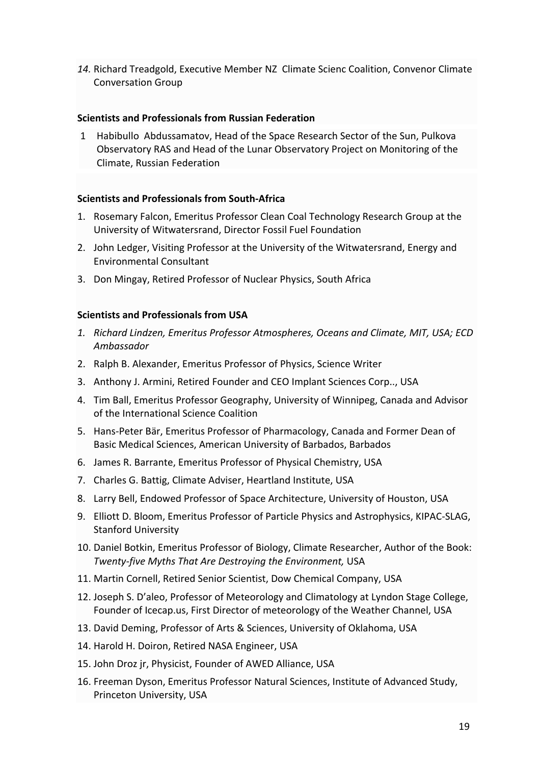*14.* Richard Treadgold, Executive Member NZ Climate Scienc Coalition, Convenor Climate Conversation Group

# **Scientists and Professionals from Russian Federation**

1 Habibullo Abdussamatov, Head of the Space Research Sector of the Sun, Pulkova Observatory RAS and Head of the Lunar Observatory Project on Monitoring of the Climate, Russian Federation

# **Scientists and Professionals from South-Africa**

- 1. Rosemary Falcon, Emeritus Professor Clean Coal Technology Research Group at the University of Witwatersrand, Director Fossil Fuel Foundation
- 2. John Ledger, Visiting Professor at the University of the Witwatersrand, Energy and Environmental Consultant
- 3. Don Mingay, Retired Professor of Nuclear Physics, South Africa

# **Scientists and Professionals from USA**

- *1. Richard Lindzen, Emeritus Professor Atmospheres, Oceans and Climate, MIT, USA; ECD Ambassador*
- 2. Ralph B. Alexander, Emeritus Professor of Physics, Science Writer
- 3. Anthony J. Armini, Retired Founder and CEO Implant Sciences Corp.., USA
- 4. Tim Ball, Emeritus Professor Geography, University of Winnipeg, Canada and Advisor of the International Science Coalition
- 5. Hans-Peter Bär, Emeritus Professor of Pharmacology, Canada and Former Dean of Basic Medical Sciences, American University of Barbados, Barbados
- 6. James R. Barrante, Emeritus Professor of Physical Chemistry, USA
- 7. Charles G. Battig, Climate Adviser, Heartland Institute, USA
- 8. Larry Bell, Endowed Professor of Space Architecture, University of Houston, USA
- 9. Elliott D. Bloom, Emeritus Professor of Particle Physics and Astrophysics, KIPAC-SLAG, Stanford University
- 10. Daniel Botkin, Emeritus Professor of Biology, Climate Researcher, Author of the Book: *Twenty-five Myths That Are Destroying the Environment,* USA
- 11. Martin Cornell, Retired Senior Scientist, Dow Chemical Company, USA
- 12. Joseph S. D'aleo, Professor of Meteorology and Climatology at Lyndon Stage College, Founder of Icecap.us, First Director of meteorology of the Weather Channel, USA
- 13. David Deming, Professor of Arts & Sciences, University of Oklahoma, USA
- 14. Harold H. Doiron, Retired NASA Engineer, USA
- 15. John Droz jr, Physicist, Founder of AWED Alliance, USA
- 16. Freeman Dyson, Emeritus Professor Natural Sciences, Institute of Advanced Study, Princeton University, USA